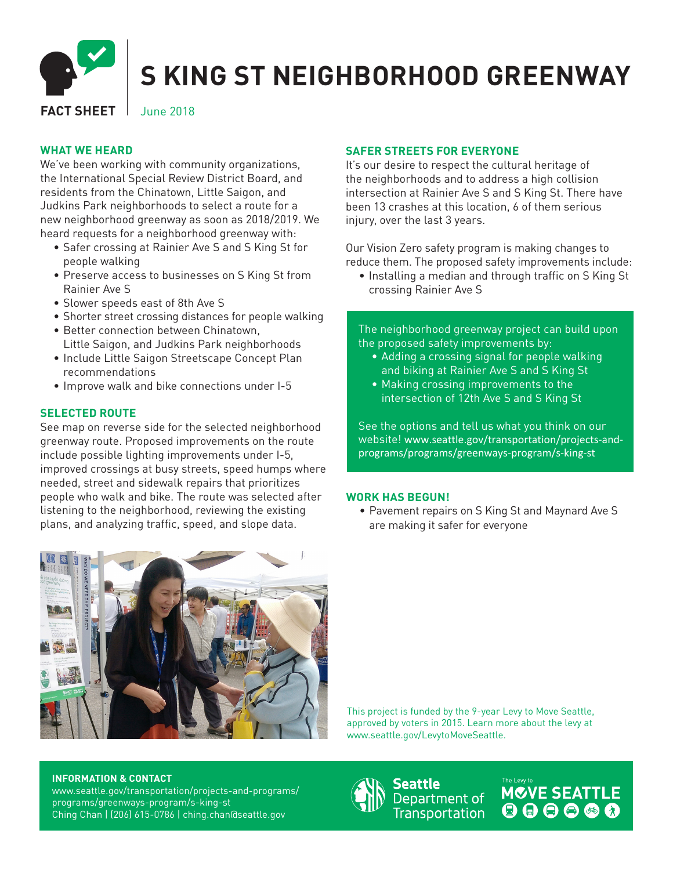

# **S KING ST NEIGHBORHOOD GREENWAY**

# **FACT SHEET** June 2018

# **WHAT WE HEARD**

We've been working with community organizations, the International Special Review District Board, and residents from the Chinatown, Little Saigon, and Judkins Park neighborhoods to select a route for a new neighborhood greenway as soon as 2018/2019. We heard requests for a neighborhood greenway with:

- Safer crossing at Rainier Ave S and S King St for people walking
- Preserve access to businesses on S King St from Rainier Ave S
- Slower speeds east of 8th Ave S
- Shorter street crossing distances for people walking
- Better connection between Chinatown, Little Saigon, and Judkins Park neighborhoods
- Include Little Saigon Streetscape Concept Plan recommendations
- Improve walk and bike connections under I-5

# **SELECTED ROUTE**

See map on reverse side for the selected neighborhood greenway route. Proposed improvements on the route include possible lighting improvements under I-5, improved crossings at busy streets, speed humps where needed, street and sidewalk repairs that prioritizes people who walk and bike. The route was selected after listening to the neighborhood, reviewing the existing plans, and analyzing traffic, speed, and slope data.

# **SAFER STREETS FOR EVERYONE**

It's our desire to respect the cultural heritage of the neighborhoods and to address a high collision intersection at Rainier Ave S and S King St. There have been 13 crashes at this location, 6 of them serious injury, over the last 3 years.

Our Vision Zero safety program is making changes to reduce them. The proposed safety improvements include:

• Installing a median and through traffic on S King St crossing Rainier Ave S

The neighborhood greenway project can build upon the proposed safety improvements by:

- Adding a crossing signal for people walking and biking at Rainier Ave S and S King St
- Making crossing improvements to the intersection of 12th Ave S and S King St

See the options and tell us what you think on our website! www.seattle.gov/transportation/projects-andprograms/programs/greenways-program/s-king-st

### **WORK HAS BEGUN!**

• Pavement repairs on S King St and Maynard Ave S are making it safer for everyone



This project is funded by the 9-year Levy to Move Seattle, approved by voters in 2015. Learn more about the levy at www.seattle.gov/LevytoMoveSeattle.

#### **INFORMATION & CONTACT**

www.seattle.gov/transportation/projects-and-programs/ programs/greenways-program/s-king-st Ching Chan | (206) 615-0786 | ching.chan@seattle.gov

Seattle Department of **Transportation**  MOVE SEATTLE  $000000$